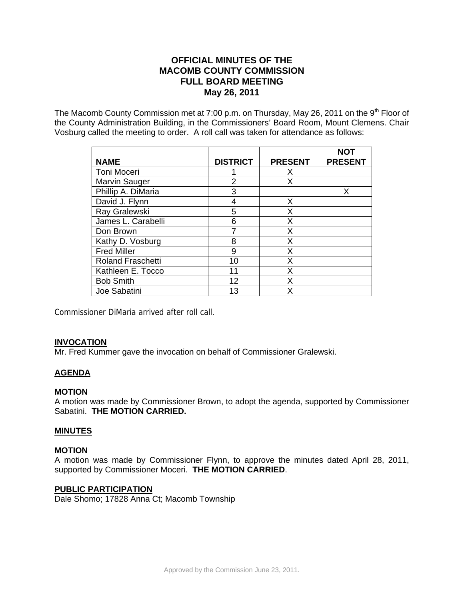# **OFFICIAL MINUTES OF THE MACOMB COUNTY COMMISSION FULL BOARD MEETING May 26, 2011**

The Macomb County Commission met at 7:00 p.m. on Thursday, May 26, 2011 on the  $9<sup>th</sup>$  Floor of the County Administration Building, in the Commissioners' Board Room, Mount Clemens. Chair Vosburg called the meeting to order. A roll call was taken for attendance as follows:

| <b>NAME</b>              | <b>DISTRICT</b> | <b>PRESENT</b> | <b>NOT</b><br><b>PRESENT</b> |
|--------------------------|-----------------|----------------|------------------------------|
| Toni Moceri              |                 | X              |                              |
| Marvin Sauger            | 2               | X              |                              |
| Phillip A. DiMaria       | 3               |                | X                            |
| David J. Flynn           | 4               | X              |                              |
| Ray Gralewski            | 5               | X              |                              |
| James L. Carabelli       | 6               | X              |                              |
| Don Brown                |                 | X              |                              |
| Kathy D. Vosburg         | 8               | X              |                              |
| <b>Fred Miller</b>       | 9               | X              |                              |
| <b>Roland Fraschetti</b> | 10              | X              |                              |
| Kathleen E. Tocco        | 11              | X              |                              |
| <b>Bob Smith</b>         | 12              | X              |                              |
| Joe Sabatini             | 13              | x              |                              |

Commissioner DiMaria arrived after roll call.

# **INVOCATION**

Mr. Fred Kummer gave the invocation on behalf of Commissioner Gralewski.

# **AGENDA**

## **MOTION**

A motion was made by Commissioner Brown, to adopt the agenda, supported by Commissioner Sabatini. **THE MOTION CARRIED.**

## **MINUTES**

## **MOTION**

A motion was made by Commissioner Flynn, to approve the minutes dated April 28, 2011, supported by Commissioner Moceri. **THE MOTION CARRIED**.

## **PUBLIC PARTICIPATION**

Dale Shomo; 17828 Anna Ct; Macomb Township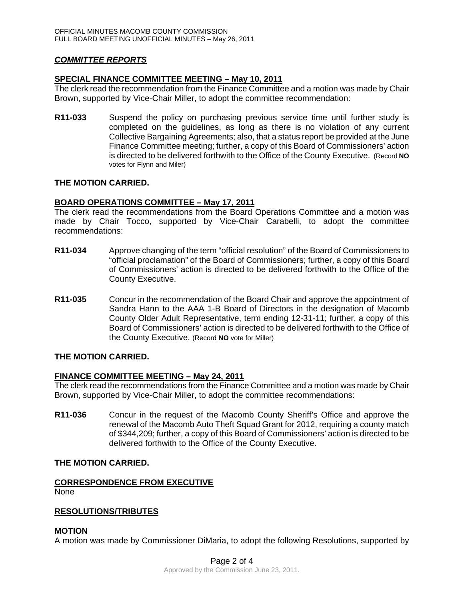# *COMMITTEE REPORTS*

## **SPECIAL FINANCE COMMITTEE MEETING – May 10, 2011**

The clerk read the recommendation from the Finance Committee and a motion was made by Chair Brown, supported by Vice-Chair Miller, to adopt the committee recommendation:

**R11-033** Suspend the policy on purchasing previous service time until further study is completed on the guidelines, as long as there is no violation of any current Collective Bargaining Agreements; also, that a status report be provided at the June Finance Committee meeting; further, a copy of this Board of Commissioners' action is directed to be delivered forthwith to the Office of the County Executive. (Record **NO** votes for Flynn and Miler)

# **THE MOTION CARRIED.**

## **BOARD OPERATIONS COMMITTEE – May 17, 2011**

The clerk read the recommendations from the Board Operations Committee and a motion was made by Chair Tocco, supported by Vice-Chair Carabelli, to adopt the committee recommendations:

- **R11-034** Approve changing of the term "official resolution" of the Board of Commissioners to "official proclamation" of the Board of Commissioners; further, a copy of this Board of Commissioners' action is directed to be delivered forthwith to the Office of the County Executive.
- **R11-035** Concur in the recommendation of the Board Chair and approve the appointment of Sandra Hann to the AAA 1-B Board of Directors in the designation of Macomb County Older Adult Representative, term ending 12-31-11; further, a copy of this Board of Commissioners' action is directed to be delivered forthwith to the Office of the County Executive. (Record **NO** vote for Miller)

## **THE MOTION CARRIED.**

## **FINANCE COMMITTEE MEETING – May 24, 2011**

The clerk read the recommendations from the Finance Committee and a motion was made by Chair Brown, supported by Vice-Chair Miller, to adopt the committee recommendations:

**R11-036** Concur in the request of the Macomb County Sheriff's Office and approve the renewal of the Macomb Auto Theft Squad Grant for 2012, requiring a county match of \$344,209; further, a copy of this Board of Commissioners' action is directed to be delivered forthwith to the Office of the County Executive.

## **THE MOTION CARRIED.**

#### **CORRESPONDENCE FROM EXECUTIVE** None

## **RESOLUTIONS/TRIBUTES**

## **MOTION**

A motion was made by Commissioner DiMaria, to adopt the following Resolutions, supported by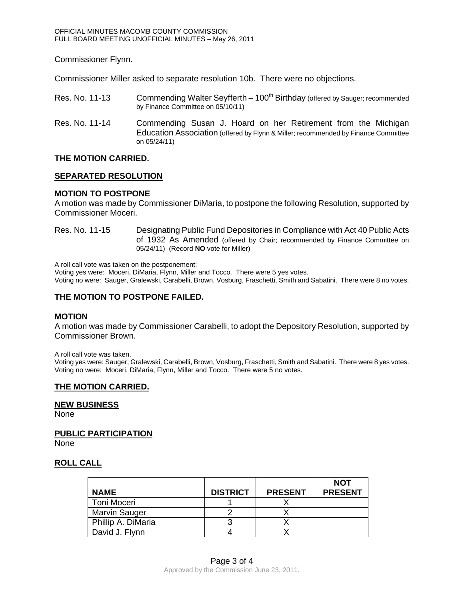Commissioner Flynn.

Commissioner Miller asked to separate resolution 10b. There were no objections.

- Res. No. 11-13 Commending Walter Seyfferth  $-100<sup>th</sup>$  Birthday (offered by Sauger; recommended by Finance Committee on 05/10/11)
- Res. No. 11-14 Commending Susan J. Hoard on her Retirement from the Michigan Education Association (offered by Flynn & Miller; recommended by Finance Committee on 05/24/11)

#### **THE MOTION CARRIED.**

#### **SEPARATED RESOLUTION**

## **MOTION TO POSTPONE**

A motion was made by Commissioner DiMaria, to postpone the following Resolution, supported by Commissioner Moceri.

Res. No. 11-15 Designating Public Fund Depositories in Compliance with Act 40 Public Acts of 1932 As Amended (offered by Chair; recommended by Finance Committee on 05/24/11) (Record **NO** vote for Miller)

A roll call vote was taken on the postponement:

Voting yes were: Moceri, DiMaria, Flynn, Miller and Tocco. There were 5 yes votes. Voting no were: Sauger, Gralewski, Carabelli, Brown, Vosburg, Fraschetti, Smith and Sabatini. There were 8 no votes.

#### **THE MOTION TO POSTPONE FAILED.**

#### **MOTION**

A motion was made by Commissioner Carabelli, to adopt the Depository Resolution, supported by Commissioner Brown.

A roll call vote was taken.

Voting yes were: Sauger, Gralewski, Carabelli, Brown, Vosburg, Fraschetti, Smith and Sabatini. There were 8 yes votes. Voting no were: Moceri, DiMaria, Flynn, Miller and Tocco. There were 5 no votes.

## **THE MOTION CARRIED.**

#### **NEW BUSINESS**

None

# **PUBLIC PARTICIPATION**

None

# **ROLL CALL**

| <b>NAME</b>          | <b>DISTRICT</b> | <b>PRESENT</b> | <b>NOT</b><br><b>PRESENT</b> |
|----------------------|-----------------|----------------|------------------------------|
| Toni Moceri          |                 |                |                              |
| <b>Marvin Sauger</b> |                 |                |                              |
| Phillip A. DiMaria   |                 |                |                              |
| David J. Flynn       |                 |                |                              |